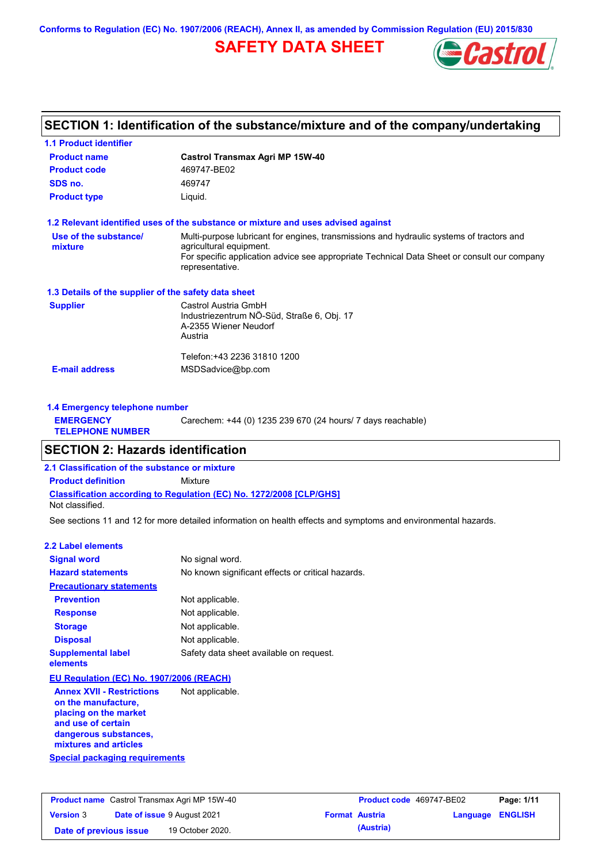**Conforms to Regulation (EC) No. 1907/2006 (REACH), Annex II, as amended by Commission Regulation (EU) 2015/830**

# **SAFETY DATA SHEET**



## **SECTION 1: Identification of the substance/mixture and of the company/undertaking**

| <b>1.1 Product identifier</b>                        |                                                                                                                                                                                                                                       |
|------------------------------------------------------|---------------------------------------------------------------------------------------------------------------------------------------------------------------------------------------------------------------------------------------|
| <b>Product name</b>                                  | <b>Castrol Transmax Agri MP 15W-40</b>                                                                                                                                                                                                |
| <b>Product code</b>                                  | 469747-BE02                                                                                                                                                                                                                           |
| SDS no.                                              | 469747                                                                                                                                                                                                                                |
| <b>Product type</b>                                  | Liquid.                                                                                                                                                                                                                               |
|                                                      | 1.2 Relevant identified uses of the substance or mixture and uses advised against                                                                                                                                                     |
| Use of the substance/<br>mixture                     | Multi-purpose lubricant for engines, transmissions and hydraulic systems of tractors and<br>agricultural equipment.<br>For specific application advice see appropriate Technical Data Sheet or consult our company<br>representative. |
| 1.3 Details of the supplier of the safety data sheet |                                                                                                                                                                                                                                       |
| <b>Supplier</b>                                      | Castrol Austria GmbH<br>Industriezentrum NÖ-Süd, Straße 6, Obj. 17<br>A-2355 Wiener Neudorf<br>Austria                                                                                                                                |
|                                                      | Telefon: +43 2236 31810 1200                                                                                                                                                                                                          |
| <b>E-mail address</b>                                | MSDSadvice@bp.com                                                                                                                                                                                                                     |
| 1.4 Emergency telephone number                       |                                                                                                                                                                                                                                       |

| <b>EMERGENCY</b><br><b>TELEPHONE NUMBER</b> | Carechem: +44 (0) 1235 239 670 (24 hours/ 7 days reachable) |
|---------------------------------------------|-------------------------------------------------------------|
|                                             |                                                             |

# **SECTION 2: Hazards identification**

**2.1 Classification of the substance or mixture**

**Classification according to Regulation (EC) No. 1272/2008 [CLP/GHS] Product definition** Mixture

Not classified.

See sections 11 and 12 for more detailed information on health effects and symptoms and environmental hazards.

#### **2.2 Label elements**

| <b>Signal word</b>                                     | No signal word.                                   |
|--------------------------------------------------------|---------------------------------------------------|
| <b>Hazard statements</b>                               | No known significant effects or critical hazards. |
| <b>Precautionary statements</b>                        |                                                   |
| <b>Prevention</b>                                      | Not applicable.                                   |
| <b>Response</b>                                        | Not applicable.                                   |
| <b>Storage</b>                                         | Not applicable.                                   |
| <b>Disposal</b>                                        | Not applicable.                                   |
| <b>Supplemental label</b><br>elements                  | Safety data sheet available on request.           |
| EU Regulation (EC) No. 1907/2006 (REACH)               |                                                   |
| <b>Annex XVII - Restrictions</b><br>an tha manufaatusa | Not applicable.                                   |

**Special packaging requirements on the manufacture, placing on the market and use of certain dangerous substances, mixtures and articles**

| <b>Product name</b> Castrol Transmax Agri MP 15W-40 |  | Product code 469747-BE02           |                       | Page: 1/11 |                         |  |
|-----------------------------------------------------|--|------------------------------------|-----------------------|------------|-------------------------|--|
| <b>Version 3</b>                                    |  | <b>Date of issue 9 August 2021</b> | <b>Format Austria</b> |            | <b>Language ENGLISH</b> |  |
| Date of previous issue                              |  | 19 October 2020.                   |                       | (Austria)  |                         |  |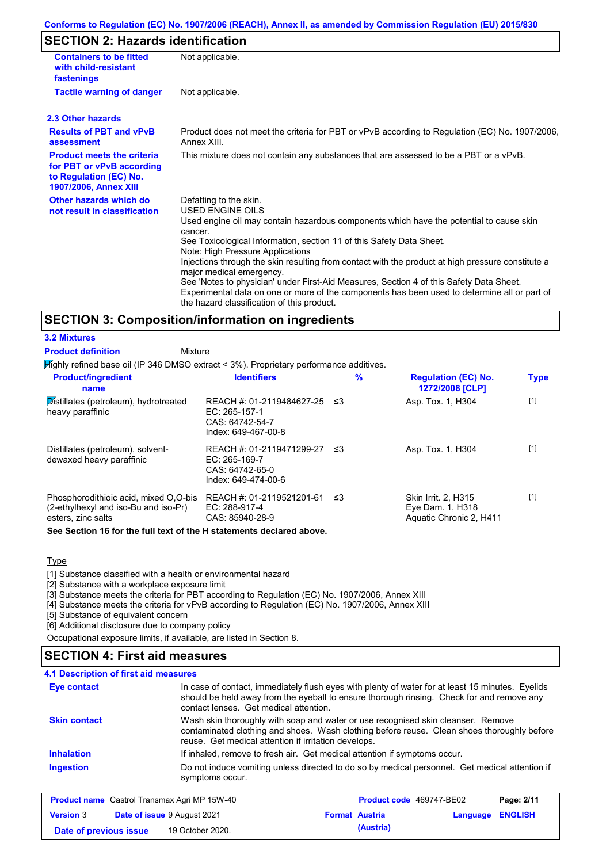## **Conforms to Regulation (EC) No. 1907/2006 (REACH), Annex II, as amended by Commission Regulation (EU) 2015/830**

## **SECTION 2: Hazards identification**

| <b>Containers to be fitted</b><br>with child-resistant<br>fastenings                                              | Not applicable.                                                                                                                                                                                                                                                                                                                                                                                                                                                                                                                                                                                                                        |  |  |  |  |
|-------------------------------------------------------------------------------------------------------------------|----------------------------------------------------------------------------------------------------------------------------------------------------------------------------------------------------------------------------------------------------------------------------------------------------------------------------------------------------------------------------------------------------------------------------------------------------------------------------------------------------------------------------------------------------------------------------------------------------------------------------------------|--|--|--|--|
| <b>Tactile warning of danger</b>                                                                                  | Not applicable.                                                                                                                                                                                                                                                                                                                                                                                                                                                                                                                                                                                                                        |  |  |  |  |
| 2.3 Other hazards                                                                                                 |                                                                                                                                                                                                                                                                                                                                                                                                                                                                                                                                                                                                                                        |  |  |  |  |
| <b>Results of PBT and vPvB</b><br>assessment                                                                      | Product does not meet the criteria for PBT or vPvB according to Regulation (EC) No. 1907/2006,<br>Annex XIII.                                                                                                                                                                                                                                                                                                                                                                                                                                                                                                                          |  |  |  |  |
| <b>Product meets the criteria</b><br>for PBT or vPvB according<br>to Regulation (EC) No.<br>1907/2006, Annex XIII | This mixture does not contain any substances that are assessed to be a PBT or a vPvB.                                                                                                                                                                                                                                                                                                                                                                                                                                                                                                                                                  |  |  |  |  |
| Other hazards which do<br>not result in classification                                                            | Defatting to the skin.<br>USED ENGINE OILS<br>Used engine oil may contain hazardous components which have the potential to cause skin<br>cancer.<br>See Toxicological Information, section 11 of this Safety Data Sheet.<br>Note: High Pressure Applications<br>Injections through the skin resulting from contact with the product at high pressure constitute a<br>major medical emergency.<br>See 'Notes to physician' under First-Aid Measures, Section 4 of this Safety Data Sheet.<br>Experimental data on one or more of the components has been used to determine all or part of<br>the hazard classification of this product. |  |  |  |  |

## **SECTION 3: Composition/information on ingredients**

#### **3.2 Mixtures**

**Product definition**

| Mixture |  |
|---------|--|

Highly refined base oil (IP 346 DMSO extract < 3%). Proprietary performance additives.

| <b>Product/ingredient</b><br>name                                                                   | <b>Identifiers</b>                                                                     | $\%$ | <b>Regulation (EC) No.</b><br>1272/2008 [CLP]                      | <b>Type</b> |
|-----------------------------------------------------------------------------------------------------|----------------------------------------------------------------------------------------|------|--------------------------------------------------------------------|-------------|
| Distillates (petroleum), hydrotreated<br>heavy paraffinic                                           | REACH #: 01-2119484627-25<br>$EC: 265-157-1$<br>CAS: 64742-54-7<br>Index: 649-467-00-8 | -≤3  | Asp. Tox. 1, H304                                                  | $[1]$       |
| Distillates (petroleum), solvent-<br>dewaxed heavy paraffinic                                       | REACH #: 01-2119471299-27<br>$EC: 265-169-7$<br>CAS: 64742-65-0<br>Index: 649-474-00-6 | -≤3  | Asp. Tox. 1, H304                                                  | $[1]$       |
| Phosphorodithioic acid, mixed O.O-bis<br>(2-ethylhexyl and iso-Bu and iso-Pr)<br>esters, zinc salts | REACH #: 01-2119521201-61 ≤3<br>EC: 288-917-4<br>CAS: 85940-28-9                       |      | Skin Irrit. 2. H315<br>Eye Dam. 1, H318<br>Aquatic Chronic 2, H411 | $[1]$       |

#### **See Section 16 for the full text of the H statements declared above.**

## Type

[1] Substance classified with a health or environmental hazard

[2] Substance with a workplace exposure limit

[3] Substance meets the criteria for PBT according to Regulation (EC) No. 1907/2006, Annex XIII

[4] Substance meets the criteria for vPvB according to Regulation (EC) No. 1907/2006, Annex XIII

**Date of previous issue (Austria)** 19 October 2020.

[5] Substance of equivalent concern

[6] Additional disclosure due to company policy

Occupational exposure limits, if available, are listed in Section 8.

# **SECTION 4: First aid measures**

#### **4.1 Description of first aid measures**

| Eye contact         | In case of contact, immediately flush eyes with plenty of water for at least 15 minutes. Eyelids<br>should be held away from the eyeball to ensure thorough rinsing. Check for and remove any<br>contact lenses. Get medical attention. |  |  |
|---------------------|-----------------------------------------------------------------------------------------------------------------------------------------------------------------------------------------------------------------------------------------|--|--|
| <b>Skin contact</b> | Wash skin thoroughly with soap and water or use recognised skin cleanser. Remove<br>contaminated clothing and shoes. Wash clothing before reuse. Clean shoes thoroughly before<br>reuse. Get medical attention if irritation develops.  |  |  |
| <b>Inhalation</b>   | If inhaled, remove to fresh air. Get medical attention if symptoms occur.                                                                                                                                                               |  |  |
| <b>Ingestion</b>    | Do not induce vomiting unless directed to do so by medical personnel. Get medical attention if<br>symptoms occur.                                                                                                                       |  |  |
|                     | <b>Product name</b> Castrol Transmax Agri MP 15W-40<br>Product code 469747-BE02<br>Page: 2/11                                                                                                                                           |  |  |
| <b>Version 3</b>    | <b>ENGLISH</b><br>Date of issue 9 August 2021<br><b>Format Austria</b><br>Language                                                                                                                                                      |  |  |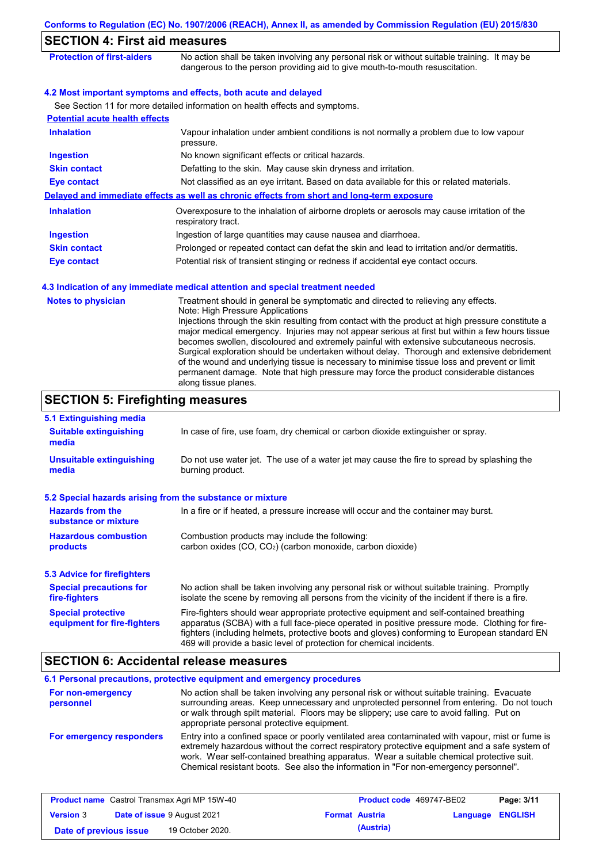|                                                           | Conforms to Regulation (EC) No. 1907/2006 (REACH), Annex II, as amended by Commission Regulation (EU) 2015/830                                                                                                                                                                                                                                                                                                                                                                                                                                                                                                                                                                                                                             |  |
|-----------------------------------------------------------|--------------------------------------------------------------------------------------------------------------------------------------------------------------------------------------------------------------------------------------------------------------------------------------------------------------------------------------------------------------------------------------------------------------------------------------------------------------------------------------------------------------------------------------------------------------------------------------------------------------------------------------------------------------------------------------------------------------------------------------------|--|
| <b>SECTION 4: First aid measures</b>                      |                                                                                                                                                                                                                                                                                                                                                                                                                                                                                                                                                                                                                                                                                                                                            |  |
| <b>Protection of first-aiders</b>                         | No action shall be taken involving any personal risk or without suitable training. It may be<br>dangerous to the person providing aid to give mouth-to-mouth resuscitation.                                                                                                                                                                                                                                                                                                                                                                                                                                                                                                                                                                |  |
|                                                           | 4.2 Most important symptoms and effects, both acute and delayed<br>See Section 11 for more detailed information on health effects and symptoms.                                                                                                                                                                                                                                                                                                                                                                                                                                                                                                                                                                                            |  |
| <b>Potential acute health effects</b>                     |                                                                                                                                                                                                                                                                                                                                                                                                                                                                                                                                                                                                                                                                                                                                            |  |
| <b>Inhalation</b>                                         | Vapour inhalation under ambient conditions is not normally a problem due to low vapour<br>pressure.                                                                                                                                                                                                                                                                                                                                                                                                                                                                                                                                                                                                                                        |  |
| <b>Ingestion</b>                                          | No known significant effects or critical hazards.                                                                                                                                                                                                                                                                                                                                                                                                                                                                                                                                                                                                                                                                                          |  |
| <b>Skin contact</b>                                       | Defatting to the skin. May cause skin dryness and irritation.                                                                                                                                                                                                                                                                                                                                                                                                                                                                                                                                                                                                                                                                              |  |
| <b>Eye contact</b>                                        | Not classified as an eye irritant. Based on data available for this or related materials.                                                                                                                                                                                                                                                                                                                                                                                                                                                                                                                                                                                                                                                  |  |
|                                                           | Delayed and immediate effects as well as chronic effects from short and long-term exposure                                                                                                                                                                                                                                                                                                                                                                                                                                                                                                                                                                                                                                                 |  |
| <b>Inhalation</b>                                         | Overexposure to the inhalation of airborne droplets or aerosols may cause irritation of the<br>respiratory tract.                                                                                                                                                                                                                                                                                                                                                                                                                                                                                                                                                                                                                          |  |
| <b>Ingestion</b>                                          | Ingestion of large quantities may cause nausea and diarrhoea.                                                                                                                                                                                                                                                                                                                                                                                                                                                                                                                                                                                                                                                                              |  |
| <b>Skin contact</b>                                       | Prolonged or repeated contact can defat the skin and lead to irritation and/or dermatitis.                                                                                                                                                                                                                                                                                                                                                                                                                                                                                                                                                                                                                                                 |  |
| <b>Eye contact</b>                                        | Potential risk of transient stinging or redness if accidental eye contact occurs.                                                                                                                                                                                                                                                                                                                                                                                                                                                                                                                                                                                                                                                          |  |
|                                                           | 4.3 Indication of any immediate medical attention and special treatment needed                                                                                                                                                                                                                                                                                                                                                                                                                                                                                                                                                                                                                                                             |  |
| <b>Notes to physician</b>                                 | Treatment should in general be symptomatic and directed to relieving any effects.<br>Note: High Pressure Applications<br>Injections through the skin resulting from contact with the product at high pressure constitute a<br>major medical emergency. Injuries may not appear serious at first but within a few hours tissue<br>becomes swollen, discoloured and extremely painful with extensive subcutaneous necrosis.<br>Surgical exploration should be undertaken without delay. Thorough and extensive debridement<br>of the wound and underlying tissue is necessary to minimise tissue loss and prevent or limit<br>permanent damage. Note that high pressure may force the product considerable distances<br>along tissue planes. |  |
| <b>SECTION 5: Firefighting measures</b>                   |                                                                                                                                                                                                                                                                                                                                                                                                                                                                                                                                                                                                                                                                                                                                            |  |
| 5.1 Extinguishing media                                   |                                                                                                                                                                                                                                                                                                                                                                                                                                                                                                                                                                                                                                                                                                                                            |  |
| <b>Suitable extinguishing</b><br>media                    | In case of fire, use foam, dry chemical or carbon dioxide extinguisher or spray.                                                                                                                                                                                                                                                                                                                                                                                                                                                                                                                                                                                                                                                           |  |
| <b>Unsuitable extinguishing</b><br>media                  | Do not use water jet. The use of a water jet may cause the fire to spread by splashing the<br>burning product.                                                                                                                                                                                                                                                                                                                                                                                                                                                                                                                                                                                                                             |  |
| 5.2 Special hazards arising from the substance or mixture |                                                                                                                                                                                                                                                                                                                                                                                                                                                                                                                                                                                                                                                                                                                                            |  |
| <b>Hazards from the</b><br>substance or mixture           | In a fire or if heated, a pressure increase will occur and the container may burst.                                                                                                                                                                                                                                                                                                                                                                                                                                                                                                                                                                                                                                                        |  |
| <b>Hazardous combustion</b><br>products                   | Combustion products may include the following:<br>carbon oxides (CO, CO <sub>2</sub> ) (carbon monoxide, carbon dioxide)                                                                                                                                                                                                                                                                                                                                                                                                                                                                                                                                                                                                                   |  |
| <b>5.3 Advice for firefighters</b>                        |                                                                                                                                                                                                                                                                                                                                                                                                                                                                                                                                                                                                                                                                                                                                            |  |
| <b>Special precautions for</b><br>fire-fighters           | No action shall be taken involving any personal risk or without suitable training. Promptly<br>isolate the scene by removing all persons from the vicinity of the incident if there is a fire.                                                                                                                                                                                                                                                                                                                                                                                                                                                                                                                                             |  |
| <b>Special protective</b><br>equipment for fire-fighters  | Fire-fighters should wear appropriate protective equipment and self-contained breathing<br>apparatus (SCBA) with a full face-piece operated in positive pressure mode. Clothing for fire-<br>fighters (including helmets, protective boots and gloves) conforming to European standard EN<br>469 will provide a basic level of protection for chemical incidents.                                                                                                                                                                                                                                                                                                                                                                          |  |
| <b>SECTION 6: Accidental release measures</b>             |                                                                                                                                                                                                                                                                                                                                                                                                                                                                                                                                                                                                                                                                                                                                            |  |
|                                                           | 6.1 Personal precautions, protective equipment and emergency procedures                                                                                                                                                                                                                                                                                                                                                                                                                                                                                                                                                                                                                                                                    |  |
| For non-emergency<br>personnel                            | No action shall be taken involving any personal risk or without suitable training. Evacuate<br>surrounding areas. Keep unnecessary and unprotected personnel from entering. Do not touch<br>or walk through spilt material. Floors may be slippery; use care to avoid falling. Put on                                                                                                                                                                                                                                                                                                                                                                                                                                                      |  |

**For emergency responders** appropriate personal protective equipment. Entry into a confined space or poorly ventilated area contaminated with vapour, mist or fume is extremely hazardous without the correct respiratory protective equipment and a safe system of work. Wear self-contained breathing apparatus. Wear a suitable chemical protective suit. Chemical resistant boots. See also the information in "For non-emergency personnel".

| <b>Product name</b> Castrol Transmax Agri MP 15W-40 |  | <b>Product code</b> 469747-BE02    |  | Page: 3/11            |                         |  |
|-----------------------------------------------------|--|------------------------------------|--|-----------------------|-------------------------|--|
| <b>Version 3</b>                                    |  | <b>Date of issue 9 August 2021</b> |  | <b>Format Austria</b> | <b>Language ENGLISH</b> |  |
| Date of previous issue                              |  | 19 October 2020.                   |  | (Austria)             |                         |  |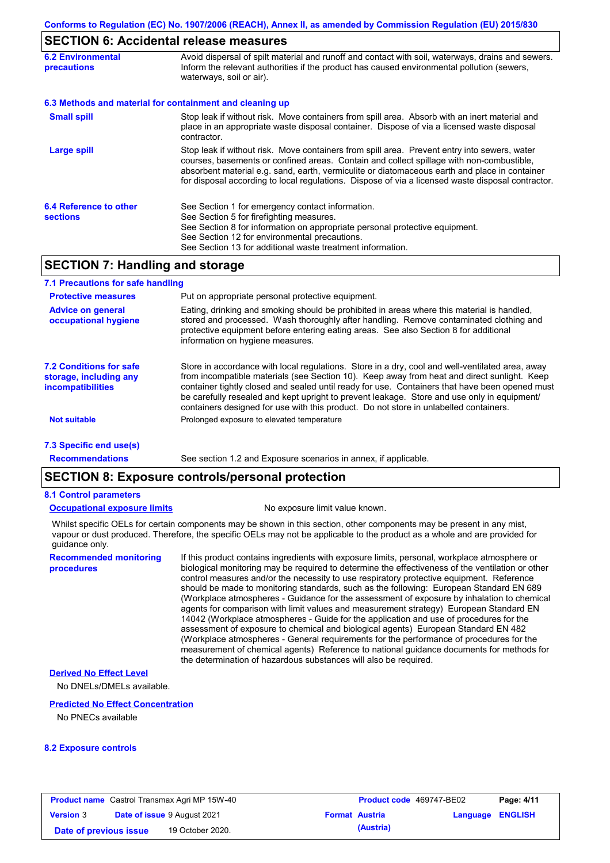## **SECTION 6: Accidental release measures**

|                                                | LV     VI   VI <i> </i> \00  00      \01     01   01   00   11   00   01   0                                                                                                                                                                                                                                                                                                                   |  |  |  |
|------------------------------------------------|------------------------------------------------------------------------------------------------------------------------------------------------------------------------------------------------------------------------------------------------------------------------------------------------------------------------------------------------------------------------------------------------|--|--|--|
| <b>6.2 Environmental</b><br><b>precautions</b> | Avoid dispersal of spilt material and runoff and contact with soil, waterways, drains and sewers.<br>Inform the relevant authorities if the product has caused environmental pollution (sewers,<br>waterways, soil or air).                                                                                                                                                                    |  |  |  |
|                                                | 6.3 Methods and material for containment and cleaning up                                                                                                                                                                                                                                                                                                                                       |  |  |  |
| <b>Small spill</b>                             | Stop leak if without risk. Move containers from spill area. Absorb with an inert material and<br>place in an appropriate waste disposal container. Dispose of via a licensed waste disposal<br>contractor.                                                                                                                                                                                     |  |  |  |
| Large spill                                    | Stop leak if without risk. Move containers from spill area. Prevent entry into sewers, water<br>courses, basements or confined areas. Contain and collect spillage with non-combustible,<br>absorbent material e.g. sand, earth, vermiculite or diatomaceous earth and place in container<br>for disposal according to local regulations. Dispose of via a licensed waste disposal contractor. |  |  |  |
| 6.4 Reference to other<br><b>sections</b>      | See Section 1 for emergency contact information.<br>See Section 5 for firefighting measures.<br>See Section 8 for information on appropriate personal protective equipment.<br>See Section 12 for environmental precautions.<br>See Section 13 for additional waste treatment information.                                                                                                     |  |  |  |

## **SECTION 7: Handling and storage**

| 7.1 Precautions for safe handling                                             |                                                                                                                                                                                                                                                                                                                                                                                                                                                                                          |
|-------------------------------------------------------------------------------|------------------------------------------------------------------------------------------------------------------------------------------------------------------------------------------------------------------------------------------------------------------------------------------------------------------------------------------------------------------------------------------------------------------------------------------------------------------------------------------|
| <b>Protective measures</b>                                                    | Put on appropriate personal protective equipment.                                                                                                                                                                                                                                                                                                                                                                                                                                        |
| <b>Advice on general</b><br>occupational hygiene                              | Eating, drinking and smoking should be prohibited in areas where this material is handled.<br>stored and processed. Wash thoroughly after handling. Remove contaminated clothing and<br>protective equipment before entering eating areas. See also Section 8 for additional<br>information on hygiene measures.                                                                                                                                                                         |
| <b>7.2 Conditions for safe</b><br>storage, including any<br>incompatibilities | Store in accordance with local requiations. Store in a dry, cool and well-ventilated area, away<br>from incompatible materials (see Section 10). Keep away from heat and direct sunlight. Keep<br>container tightly closed and sealed until ready for use. Containers that have been opened must<br>be carefully resealed and kept upright to prevent leakage. Store and use only in equipment/<br>containers designed for use with this product. Do not store in unlabelled containers. |
| <b>Not suitable</b>                                                           | Prolonged exposure to elevated temperature                                                                                                                                                                                                                                                                                                                                                                                                                                               |
| 7.3 Specific end use(s)                                                       |                                                                                                                                                                                                                                                                                                                                                                                                                                                                                          |
| <b>Recommendations</b>                                                        | See section 1.2 and Exposure scenarios in annex, if applicable.                                                                                                                                                                                                                                                                                                                                                                                                                          |

## **SECTION 8: Exposure controls/personal protection**

#### **8.1 Control parameters**

#### **Occupational exposure limits** No exposure limit value known.

Whilst specific OELs for certain components may be shown in this section, other components may be present in any mist, vapour or dust produced. Therefore, the specific OELs may not be applicable to the product as a whole and are provided for guidance only.

**Recommended monitoring procedures**

If this product contains ingredients with exposure limits, personal, workplace atmosphere or biological monitoring may be required to determine the effectiveness of the ventilation or other control measures and/or the necessity to use respiratory protective equipment. Reference should be made to monitoring standards, such as the following: European Standard EN 689 (Workplace atmospheres - Guidance for the assessment of exposure by inhalation to chemical agents for comparison with limit values and measurement strategy) European Standard EN 14042 (Workplace atmospheres - Guide for the application and use of procedures for the assessment of exposure to chemical and biological agents) European Standard EN 482 (Workplace atmospheres - General requirements for the performance of procedures for the measurement of chemical agents) Reference to national guidance documents for methods for the determination of hazardous substances will also be required.

### **Derived No Effect Level**

No DNELs/DMELs available.

#### **Predicted No Effect Concentration**

No PNECs available

#### **8.2 Exposure controls**

| <b>Product name</b> Castrol Transmax Agri MP 15W-40 |  | Product code 469747-BE02           |  | Page: 4/11            |                         |  |
|-----------------------------------------------------|--|------------------------------------|--|-----------------------|-------------------------|--|
| <b>Version 3</b>                                    |  | <b>Date of issue 9 August 2021</b> |  | <b>Format Austria</b> | <b>Language ENGLISH</b> |  |
| Date of previous issue                              |  | 19 October 2020.                   |  | (Austria)             |                         |  |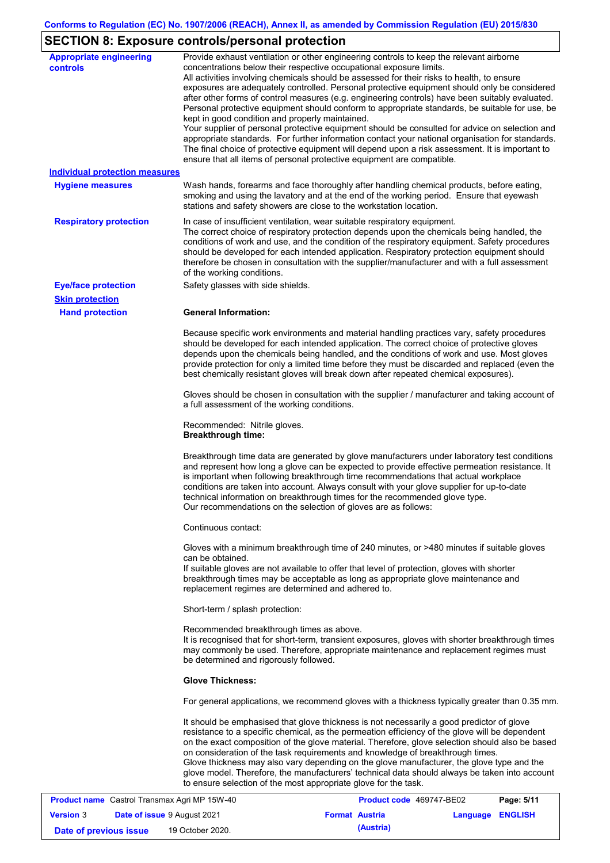# **SECTION 8: Exposure controls/personal protection**

| <b>Appropriate engineering</b><br>controls          | Provide exhaust ventilation or other engineering controls to keep the relevant airborne<br>concentrations below their respective occupational exposure limits.<br>All activities involving chemicals should be assessed for their risks to health, to ensure<br>exposures are adequately controlled. Personal protective equipment should only be considered<br>after other forms of control measures (e.g. engineering controls) have been suitably evaluated.<br>Personal protective equipment should conform to appropriate standards, be suitable for use, be<br>kept in good condition and properly maintained.<br>Your supplier of personal protective equipment should be consulted for advice on selection and<br>appropriate standards. For further information contact your national organisation for standards.<br>The final choice of protective equipment will depend upon a risk assessment. It is important to<br>ensure that all items of personal protective equipment are compatible. |
|-----------------------------------------------------|---------------------------------------------------------------------------------------------------------------------------------------------------------------------------------------------------------------------------------------------------------------------------------------------------------------------------------------------------------------------------------------------------------------------------------------------------------------------------------------------------------------------------------------------------------------------------------------------------------------------------------------------------------------------------------------------------------------------------------------------------------------------------------------------------------------------------------------------------------------------------------------------------------------------------------------------------------------------------------------------------------|
| <b>Individual protection measures</b>               |                                                                                                                                                                                                                                                                                                                                                                                                                                                                                                                                                                                                                                                                                                                                                                                                                                                                                                                                                                                                         |
| <b>Hygiene measures</b>                             | Wash hands, forearms and face thoroughly after handling chemical products, before eating,<br>smoking and using the lavatory and at the end of the working period. Ensure that eyewash<br>stations and safety showers are close to the workstation location.                                                                                                                                                                                                                                                                                                                                                                                                                                                                                                                                                                                                                                                                                                                                             |
| <b>Respiratory protection</b>                       | In case of insufficient ventilation, wear suitable respiratory equipment.<br>The correct choice of respiratory protection depends upon the chemicals being handled, the<br>conditions of work and use, and the condition of the respiratory equipment. Safety procedures<br>should be developed for each intended application. Respiratory protection equipment should<br>therefore be chosen in consultation with the supplier/manufacturer and with a full assessment<br>of the working conditions.                                                                                                                                                                                                                                                                                                                                                                                                                                                                                                   |
| <b>Eye/face protection</b>                          | Safety glasses with side shields.                                                                                                                                                                                                                                                                                                                                                                                                                                                                                                                                                                                                                                                                                                                                                                                                                                                                                                                                                                       |
| <b>Skin protection</b>                              |                                                                                                                                                                                                                                                                                                                                                                                                                                                                                                                                                                                                                                                                                                                                                                                                                                                                                                                                                                                                         |
| <b>Hand protection</b>                              | <b>General Information:</b>                                                                                                                                                                                                                                                                                                                                                                                                                                                                                                                                                                                                                                                                                                                                                                                                                                                                                                                                                                             |
|                                                     | Because specific work environments and material handling practices vary, safety procedures<br>should be developed for each intended application. The correct choice of protective gloves<br>depends upon the chemicals being handled, and the conditions of work and use. Most gloves<br>provide protection for only a limited time before they must be discarded and replaced (even the<br>best chemically resistant gloves will break down after repeated chemical exposures).                                                                                                                                                                                                                                                                                                                                                                                                                                                                                                                        |
|                                                     | Gloves should be chosen in consultation with the supplier / manufacturer and taking account of<br>a full assessment of the working conditions.                                                                                                                                                                                                                                                                                                                                                                                                                                                                                                                                                                                                                                                                                                                                                                                                                                                          |
|                                                     | Recommended: Nitrile gloves.<br><b>Breakthrough time:</b>                                                                                                                                                                                                                                                                                                                                                                                                                                                                                                                                                                                                                                                                                                                                                                                                                                                                                                                                               |
|                                                     | Breakthrough time data are generated by glove manufacturers under laboratory test conditions<br>and represent how long a glove can be expected to provide effective permeation resistance. It<br>is important when following breakthrough time recommendations that actual workplace<br>conditions are taken into account. Always consult with your glove supplier for up-to-date<br>technical information on breakthrough times for the recommended glove type.<br>Our recommendations on the selection of gloves are as follows:                                                                                                                                                                                                                                                                                                                                                                                                                                                                      |
|                                                     | Continuous contact:                                                                                                                                                                                                                                                                                                                                                                                                                                                                                                                                                                                                                                                                                                                                                                                                                                                                                                                                                                                     |
|                                                     | Gloves with a minimum breakthrough time of 240 minutes, or >480 minutes if suitable gloves<br>can be obtained.<br>If suitable gloves are not available to offer that level of protection, gloves with shorter<br>breakthrough times may be acceptable as long as appropriate glove maintenance and<br>replacement regimes are determined and adhered to.                                                                                                                                                                                                                                                                                                                                                                                                                                                                                                                                                                                                                                                |
|                                                     | Short-term / splash protection:                                                                                                                                                                                                                                                                                                                                                                                                                                                                                                                                                                                                                                                                                                                                                                                                                                                                                                                                                                         |
|                                                     | Recommended breakthrough times as above.<br>It is recognised that for short-term, transient exposures, gloves with shorter breakthrough times<br>may commonly be used. Therefore, appropriate maintenance and replacement regimes must<br>be determined and rigorously followed.                                                                                                                                                                                                                                                                                                                                                                                                                                                                                                                                                                                                                                                                                                                        |
|                                                     | <b>Glove Thickness:</b>                                                                                                                                                                                                                                                                                                                                                                                                                                                                                                                                                                                                                                                                                                                                                                                                                                                                                                                                                                                 |
|                                                     | For general applications, we recommend gloves with a thickness typically greater than 0.35 mm.                                                                                                                                                                                                                                                                                                                                                                                                                                                                                                                                                                                                                                                                                                                                                                                                                                                                                                          |
|                                                     | It should be emphasised that glove thickness is not necessarily a good predictor of glove<br>resistance to a specific chemical, as the permeation efficiency of the glove will be dependent<br>on the exact composition of the glove material. Therefore, glove selection should also be based<br>on consideration of the task requirements and knowledge of breakthrough times.<br>Glove thickness may also vary depending on the glove manufacturer, the glove type and the<br>glove model. Therefore, the manufacturers' technical data should always be taken into account<br>to ensure selection of the most appropriate glove for the task.                                                                                                                                                                                                                                                                                                                                                       |
| <b>Product name</b> Castrol Transmax Agri MP 15W-40 | Product code 469747-RE02<br>Page: 5/11                                                                                                                                                                                                                                                                                                                                                                                                                                                                                                                                                                                                                                                                                                                                                                                                                                                                                                                                                                  |

| <b>Product name</b> Castrol Transmax Agri MP 15W-40 |  | Product code 469747-BE02           |                       | Page: 5/11 |                  |  |
|-----------------------------------------------------|--|------------------------------------|-----------------------|------------|------------------|--|
| <b>Version 3</b>                                    |  | <b>Date of issue 9 August 2021</b> | <b>Format Austria</b> |            | Language ENGLISH |  |
| Date of previous issue                              |  | 19 October 2020.                   |                       | (Austria)  |                  |  |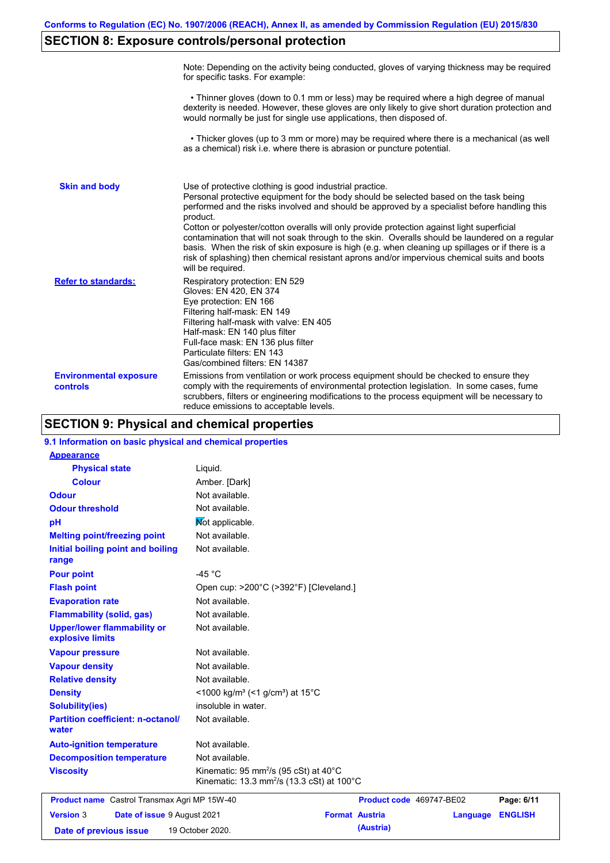# **SECTION 8: Exposure controls/personal protection**

|                                           | Note: Depending on the activity being conducted, gloves of varying thickness may be required<br>for specific tasks. For example:                                                                                                                                                                                                                                                                                                                                                                                                                                                                                                                                                      |
|-------------------------------------------|---------------------------------------------------------------------------------------------------------------------------------------------------------------------------------------------------------------------------------------------------------------------------------------------------------------------------------------------------------------------------------------------------------------------------------------------------------------------------------------------------------------------------------------------------------------------------------------------------------------------------------------------------------------------------------------|
|                                           | • Thinner gloves (down to 0.1 mm or less) may be required where a high degree of manual<br>dexterity is needed. However, these gloves are only likely to give short duration protection and<br>would normally be just for single use applications, then disposed of.                                                                                                                                                                                                                                                                                                                                                                                                                  |
|                                           | • Thicker gloves (up to 3 mm or more) may be required where there is a mechanical (as well<br>as a chemical) risk i.e. where there is abrasion or puncture potential.                                                                                                                                                                                                                                                                                                                                                                                                                                                                                                                 |
| <b>Skin and body</b>                      | Use of protective clothing is good industrial practice.<br>Personal protective equipment for the body should be selected based on the task being<br>performed and the risks involved and should be approved by a specialist before handling this<br>product.<br>Cotton or polyester/cotton overalls will only provide protection against light superficial<br>contamination that will not soak through to the skin. Overalls should be laundered on a regular<br>basis. When the risk of skin exposure is high (e.g. when cleaning up spillages or if there is a<br>risk of splashing) then chemical resistant aprons and/or impervious chemical suits and boots<br>will be required. |
| <b>Refer to standards:</b>                | Respiratory protection: EN 529<br>Gloves: EN 420, EN 374<br>Eye protection: EN 166<br>Filtering half-mask: EN 149<br>Filtering half-mask with valve: EN 405<br>Half-mask: EN 140 plus filter<br>Full-face mask: EN 136 plus filter<br>Particulate filters: EN 143<br>Gas/combined filters: EN 14387                                                                                                                                                                                                                                                                                                                                                                                   |
| <b>Environmental exposure</b><br>controls | Emissions from ventilation or work process equipment should be checked to ensure they<br>comply with the requirements of environmental protection legislation. In some cases, fume<br>scrubbers, filters or engineering modifications to the process equipment will be necessary to<br>reduce emissions to acceptable levels.                                                                                                                                                                                                                                                                                                                                                         |

## **SECTION 9: Physical and chemical properties**

| 9.1 Information on basic physical and chemical properties |                                                                                                                             |                          |          |                |
|-----------------------------------------------------------|-----------------------------------------------------------------------------------------------------------------------------|--------------------------|----------|----------------|
| <b>Appearance</b>                                         |                                                                                                                             |                          |          |                |
| <b>Physical state</b>                                     | Liquid.                                                                                                                     |                          |          |                |
| <b>Colour</b>                                             | Amber. [Dark]                                                                                                               |                          |          |                |
| <b>Odour</b>                                              | Not available.                                                                                                              |                          |          |                |
| <b>Odour threshold</b>                                    | Not available.                                                                                                              |                          |          |                |
| pH                                                        | Mot applicable.                                                                                                             |                          |          |                |
| <b>Melting point/freezing point</b>                       | Not available.                                                                                                              |                          |          |                |
| Initial boiling point and boiling<br>range                | Not available.                                                                                                              |                          |          |                |
| <b>Pour point</b>                                         | $-45 °C$                                                                                                                    |                          |          |                |
| <b>Flash point</b>                                        | Open cup: >200°C (>392°F) [Cleveland.]                                                                                      |                          |          |                |
| <b>Evaporation rate</b>                                   | Not available.                                                                                                              |                          |          |                |
| <b>Flammability (solid, gas)</b>                          | Not available.                                                                                                              |                          |          |                |
| <b>Upper/lower flammability or</b><br>explosive limits    | Not available.                                                                                                              |                          |          |                |
| <b>Vapour pressure</b>                                    | Not available.                                                                                                              |                          |          |                |
| <b>Vapour density</b>                                     | Not available.                                                                                                              |                          |          |                |
| <b>Relative density</b>                                   | Not available.                                                                                                              |                          |          |                |
| <b>Density</b>                                            | <1000 kg/m <sup>3</sup> (<1 g/cm <sup>3</sup> ) at 15 <sup>°</sup> C                                                        |                          |          |                |
| <b>Solubility(ies)</b>                                    | insoluble in water.                                                                                                         |                          |          |                |
| <b>Partition coefficient: n-octanol/</b><br>water         | Not available.                                                                                                              |                          |          |                |
| <b>Auto-ignition temperature</b>                          | Not available.                                                                                                              |                          |          |                |
| <b>Decomposition temperature</b>                          | Not available.                                                                                                              |                          |          |                |
| <b>Viscosity</b>                                          | Kinematic: $95 \text{ mm}^2/\text{s}$ (95 cSt) at 40 $^{\circ}$ C<br>Kinematic: 13.3 mm <sup>2</sup> /s (13.3 cSt) at 100°C |                          |          |                |
| <b>Product name</b> Castrol Transmax Agri MP 15W-40       |                                                                                                                             | Product code 469747-BE02 |          | Page: 6/11     |
| <b>Version 3</b><br>Date of issue 9 August 2021           |                                                                                                                             | <b>Format Austria</b>    | Language | <b>ENGLISH</b> |
| Date of previous issue                                    | 19 October 2020.                                                                                                            | (Austria)                |          |                |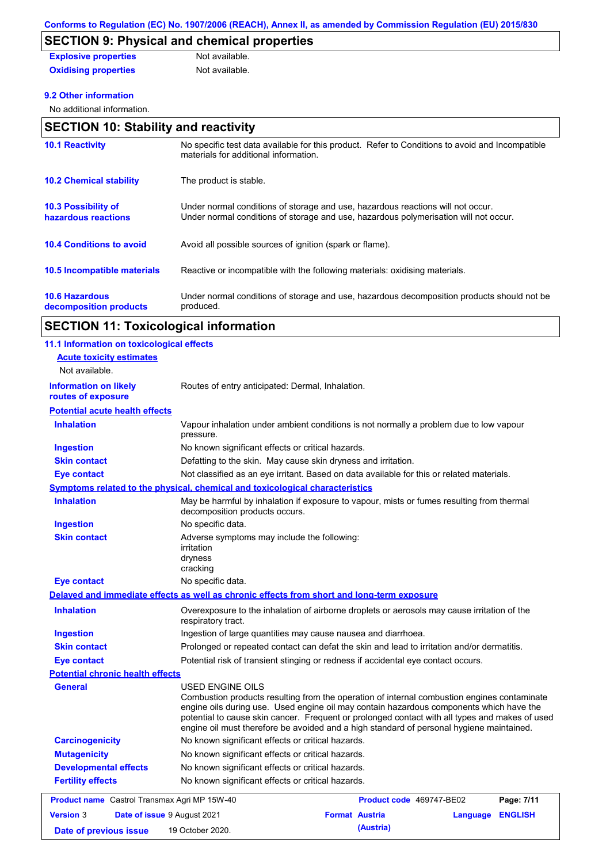# **SECTION 9: Physical and chemical properties**

| <b>Explosive properties</b> | Not available. |
|-----------------------------|----------------|
| <b>Oxidising properties</b> | Not available. |

## **9.2 Other information**

No additional information.

## **SECTION 10: Stability and reactivity**

| <b>10.1 Reactivity</b>                            | No specific test data available for this product. Refer to Conditions to avoid and Incompatible<br>materials for additional information.                                |
|---------------------------------------------------|-------------------------------------------------------------------------------------------------------------------------------------------------------------------------|
| <b>10.2 Chemical stability</b>                    | The product is stable.                                                                                                                                                  |
| <b>10.3 Possibility of</b><br>hazardous reactions | Under normal conditions of storage and use, hazardous reactions will not occur.<br>Under normal conditions of storage and use, hazardous polymerisation will not occur. |
| <b>10.4 Conditions to avoid</b>                   | Avoid all possible sources of ignition (spark or flame).                                                                                                                |
| 10.5 Incompatible materials                       | Reactive or incompatible with the following materials: oxidising materials.                                                                                             |
| <b>10.6 Hazardous</b><br>decomposition products   | Under normal conditions of storage and use, hazardous decomposition products should not be<br>produced.                                                                 |

# **SECTION 11: Toxicological information**

| 11.1 Information on toxicological effects           |                                                                                                                                                                                                                                                                                                                                                                                                          |                          |          |                |
|-----------------------------------------------------|----------------------------------------------------------------------------------------------------------------------------------------------------------------------------------------------------------------------------------------------------------------------------------------------------------------------------------------------------------------------------------------------------------|--------------------------|----------|----------------|
| <b>Acute toxicity estimates</b>                     |                                                                                                                                                                                                                                                                                                                                                                                                          |                          |          |                |
| Not available.                                      |                                                                                                                                                                                                                                                                                                                                                                                                          |                          |          |                |
| <b>Information on likely</b><br>routes of exposure  | Routes of entry anticipated: Dermal, Inhalation.                                                                                                                                                                                                                                                                                                                                                         |                          |          |                |
| <b>Potential acute health effects</b>               |                                                                                                                                                                                                                                                                                                                                                                                                          |                          |          |                |
| <b>Inhalation</b>                                   | Vapour inhalation under ambient conditions is not normally a problem due to low vapour<br>pressure.                                                                                                                                                                                                                                                                                                      |                          |          |                |
| <b>Ingestion</b>                                    | No known significant effects or critical hazards.                                                                                                                                                                                                                                                                                                                                                        |                          |          |                |
| <b>Skin contact</b>                                 | Defatting to the skin. May cause skin dryness and irritation.                                                                                                                                                                                                                                                                                                                                            |                          |          |                |
| <b>Eye contact</b>                                  | Not classified as an eye irritant. Based on data available for this or related materials.                                                                                                                                                                                                                                                                                                                |                          |          |                |
|                                                     | Symptoms related to the physical, chemical and toxicological characteristics                                                                                                                                                                                                                                                                                                                             |                          |          |                |
| <b>Inhalation</b>                                   | May be harmful by inhalation if exposure to vapour, mists or fumes resulting from thermal<br>decomposition products occurs.                                                                                                                                                                                                                                                                              |                          |          |                |
| <b>Ingestion</b>                                    | No specific data.                                                                                                                                                                                                                                                                                                                                                                                        |                          |          |                |
| <b>Skin contact</b>                                 | Adverse symptoms may include the following:<br>irritation<br>dryness<br>cracking                                                                                                                                                                                                                                                                                                                         |                          |          |                |
| <b>Eye contact</b>                                  | No specific data.                                                                                                                                                                                                                                                                                                                                                                                        |                          |          |                |
|                                                     | Delayed and immediate effects as well as chronic effects from short and long-term exposure                                                                                                                                                                                                                                                                                                               |                          |          |                |
| <b>Inhalation</b>                                   | Overexposure to the inhalation of airborne droplets or aerosols may cause irritation of the<br>respiratory tract.                                                                                                                                                                                                                                                                                        |                          |          |                |
| <b>Ingestion</b>                                    | Ingestion of large quantities may cause nausea and diarrhoea.                                                                                                                                                                                                                                                                                                                                            |                          |          |                |
| <b>Skin contact</b>                                 | Prolonged or repeated contact can defat the skin and lead to irritation and/or dermatitis.                                                                                                                                                                                                                                                                                                               |                          |          |                |
| <b>Eye contact</b>                                  | Potential risk of transient stinging or redness if accidental eye contact occurs.                                                                                                                                                                                                                                                                                                                        |                          |          |                |
| <b>Potential chronic health effects</b>             |                                                                                                                                                                                                                                                                                                                                                                                                          |                          |          |                |
| General                                             | USED ENGINE OILS<br>Combustion products resulting from the operation of internal combustion engines contaminate<br>engine oils during use. Used engine oil may contain hazardous components which have the<br>potential to cause skin cancer. Frequent or prolonged contact with all types and makes of used<br>engine oil must therefore be avoided and a high standard of personal hygiene maintained. |                          |          |                |
| <b>Carcinogenicity</b>                              | No known significant effects or critical hazards.                                                                                                                                                                                                                                                                                                                                                        |                          |          |                |
| <b>Mutagenicity</b>                                 | No known significant effects or critical hazards.                                                                                                                                                                                                                                                                                                                                                        |                          |          |                |
| <b>Developmental effects</b>                        | No known significant effects or critical hazards.                                                                                                                                                                                                                                                                                                                                                        |                          |          |                |
| <b>Fertility effects</b>                            | No known significant effects or critical hazards.                                                                                                                                                                                                                                                                                                                                                        |                          |          |                |
| <b>Product name</b> Castrol Transmax Agri MP 15W-40 |                                                                                                                                                                                                                                                                                                                                                                                                          | Product code 469747-BE02 |          | Page: 7/11     |
|                                                     |                                                                                                                                                                                                                                                                                                                                                                                                          |                          |          |                |
| <b>Version 3</b>                                    | Date of issue 9 August 2021                                                                                                                                                                                                                                                                                                                                                                              | <b>Format Austria</b>    | Language | <b>ENGLISH</b> |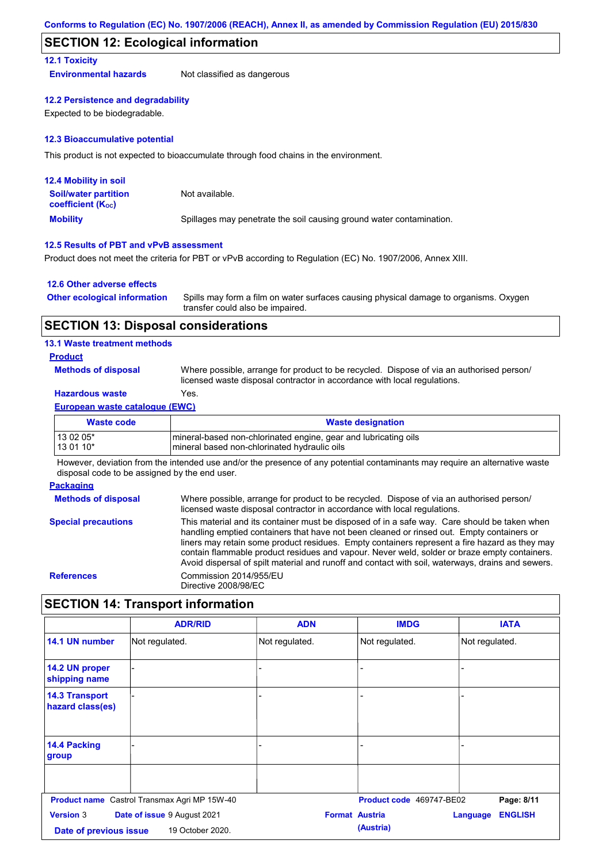## **SECTION 12: Ecological information**

### **12.1 Toxicity**

**Environmental hazards** Not classified as dangerous

### **12.2 Persistence and degradability**

Expected to be biodegradable.

#### **12.3 Bioaccumulative potential**

This product is not expected to bioaccumulate through food chains in the environment.

| <b>12.4 Mobility in soil</b>                            |                                                                      |
|---------------------------------------------------------|----------------------------------------------------------------------|
| <b>Soil/water partition</b><br><b>coefficient (Koc)</b> | Not available.                                                       |
| <b>Mobility</b>                                         | Spillages may penetrate the soil causing ground water contamination. |

#### **12.5 Results of PBT and vPvB assessment**

Product does not meet the criteria for PBT or vPvB according to Regulation (EC) No. 1907/2006, Annex XIII.

#### **12.6 Other adverse effects**

| <b>Other ecological information</b> | Spills may form a film on water surfaces causing physical damage to organisms. Oxygen<br>transfer could also be impaired. |
|-------------------------------------|---------------------------------------------------------------------------------------------------------------------------|
|                                     |                                                                                                                           |

## **SECTION 13: Disposal considerations**

### **13.1 Waste treatment methods**

## **Product**

**Methods of disposal**

Where possible, arrange for product to be recycled. Dispose of via an authorised person/ licensed waste disposal contractor in accordance with local regulations.

## **Hazardous waste** Yes.

#### **European waste catalogue (EWC)**

| <b>Waste code</b> | <b>Waste designation</b>                                         |
|-------------------|------------------------------------------------------------------|
| 13 02 05*         | Imineral-based non-chlorinated engine, gear and lubricating oils |
| 13 01 10*         | Imineral based non-chlorinated hydraulic oils                    |

However, deviation from the intended use and/or the presence of any potential contaminants may require an alternative waste disposal code to be assigned by the end user.

#### **Packaging**

**Methods of disposal Special precautions** Where possible, arrange for product to be recycled. Dispose of via an authorised person/ licensed waste disposal contractor in accordance with local regulations. This material and its container must be disposed of in a safe way. Care should be taken when handling emptied containers that have not been cleaned or rinsed out. Empty containers or liners may retain some product residues. Empty containers represent a fire hazard as they may contain flammable product residues and vapour. Never weld, solder or braze empty containers. Avoid dispersal of spilt material and runoff and contact with soil, waterways, drains and sewers. **References** Commission 2014/955/EU Directive 2008/98/EC

## **SECTION 14: Transport information**

|                                            | <b>ADR/RID</b>                                      | <b>ADN</b>                         | <b>IMDG</b>                | <b>IATA</b>    |
|--------------------------------------------|-----------------------------------------------------|------------------------------------|----------------------------|----------------|
| 14.1 UN number                             | Not regulated.                                      | Not regulated.                     | Not regulated.             | Not regulated. |
| 14.2 UN proper<br>shipping name            |                                                     | -                                  |                            |                |
| <b>14.3 Transport</b><br>hazard class(es)  |                                                     |                                    |                            |                |
| 14.4 Packing<br>group                      |                                                     | -                                  |                            |                |
|                                            |                                                     |                                    |                            |                |
|                                            | <b>Product name</b> Castrol Transmax Agri MP 15W-40 |                                    | Product code 469747-BE02   | Page: 8/11     |
| <b>Version 3</b><br>Date of previous issue | Date of issue 9 August 2021<br>19 October 2020.     | <b>Format Austria</b><br>(Austria) | <b>ENGLISH</b><br>Language |                |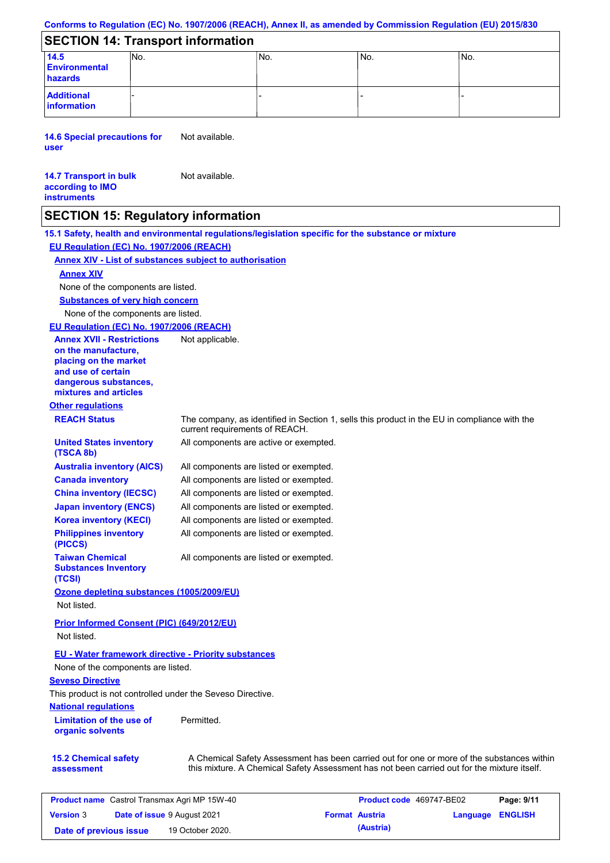## **Conforms to Regulation (EC) No. 1907/2006 (REACH), Annex II, as amended by Commission Regulation (EU) 2015/830**

## **SECTION 14: Transport information**

| 14.5                             | INo. | 'No. | IN <sub>o</sub> | No. |
|----------------------------------|------|------|-----------------|-----|
| <b>Environmental</b>             |      |      |                 |     |
| hazards                          |      |      |                 |     |
| <b>Additional</b><br>information |      |      |                 |     |

**14.6 Special precautions for user** Not available.

#### **14.7 Transport in bulk according to IMO instruments** Not available.

## **SECTION 15: Regulatory information**

**15.1 Safety, health and environmental regulations/legislation specific for the substance or mixture EU Regulation (EC) No. 1907/2006 (REACH)**

## **Annex XIV - List of substances subject to authorisation**

## **Annex XIV**

None of the components are listed.

**Substances of very high concern**

None of the components are listed.

## **EU Regulation (EC) No. 1907/2006 (REACH)**

| <b>Annex XVII - Restrictions</b><br>on the manufacture,<br>placing on the market<br>and use of certain<br>dangerous substances,<br>mixtures and articles<br><b>Other regulations</b> | Not applicable.                                                                                                                                                                           |
|--------------------------------------------------------------------------------------------------------------------------------------------------------------------------------------|-------------------------------------------------------------------------------------------------------------------------------------------------------------------------------------------|
| <b>REACH Status</b>                                                                                                                                                                  | The company, as identified in Section 1, sells this product in the EU in compliance with the<br>current requirements of REACH.                                                            |
| <b>United States inventory</b><br>(TSCA 8b)                                                                                                                                          | All components are active or exempted.                                                                                                                                                    |
| <b>Australia inventory (AICS)</b>                                                                                                                                                    | All components are listed or exempted.                                                                                                                                                    |
| <b>Canada inventory</b>                                                                                                                                                              | All components are listed or exempted.                                                                                                                                                    |
| <b>China inventory (IECSC)</b>                                                                                                                                                       | All components are listed or exempted.                                                                                                                                                    |
| <b>Japan inventory (ENCS)</b>                                                                                                                                                        | All components are listed or exempted.                                                                                                                                                    |
| <b>Korea inventory (KECI)</b>                                                                                                                                                        | All components are listed or exempted.                                                                                                                                                    |
| <b>Philippines inventory</b><br>(PICCS)                                                                                                                                              | All components are listed or exempted.                                                                                                                                                    |
| <b>Taiwan Chemical</b><br><b>Substances Inventory</b><br>(TCSI)                                                                                                                      | All components are listed or exempted.                                                                                                                                                    |
| Ozone depleting substances (1005/2009/EU)<br>Not listed.                                                                                                                             |                                                                                                                                                                                           |
| Prior Informed Consent (PIC) (649/2012/EU)<br>Not listed.                                                                                                                            |                                                                                                                                                                                           |
| <b>EU - Water framework directive - Priority substances</b><br>None of the components are listed.<br><b>Seveso Directive</b>                                                         |                                                                                                                                                                                           |
| This product is not controlled under the Seveso Directive.                                                                                                                           |                                                                                                                                                                                           |
| <b>National regulations</b>                                                                                                                                                          |                                                                                                                                                                                           |
| <b>Limitation of the use of</b><br>organic solvents                                                                                                                                  | Permitted.                                                                                                                                                                                |
| <b>15.2 Chemical safety</b><br>assessment                                                                                                                                            | A Chemical Safety Assessment has been carried out for one or more of the substances within<br>this mixture. A Chemical Safety Assessment has not been carried out for the mixture itself. |

| <b>Product name</b> Castrol Transmax Agri MP 15W-40 |  |                             | Product code 469747-BE02 |                       | Page: 9/11              |  |
|-----------------------------------------------------|--|-----------------------------|--------------------------|-----------------------|-------------------------|--|
| <b>Version 3</b>                                    |  | Date of issue 9 August 2021 |                          | <b>Format Austria</b> | <b>Language ENGLISH</b> |  |
| Date of previous issue                              |  | 19 October 2020.            |                          | (Austria)             |                         |  |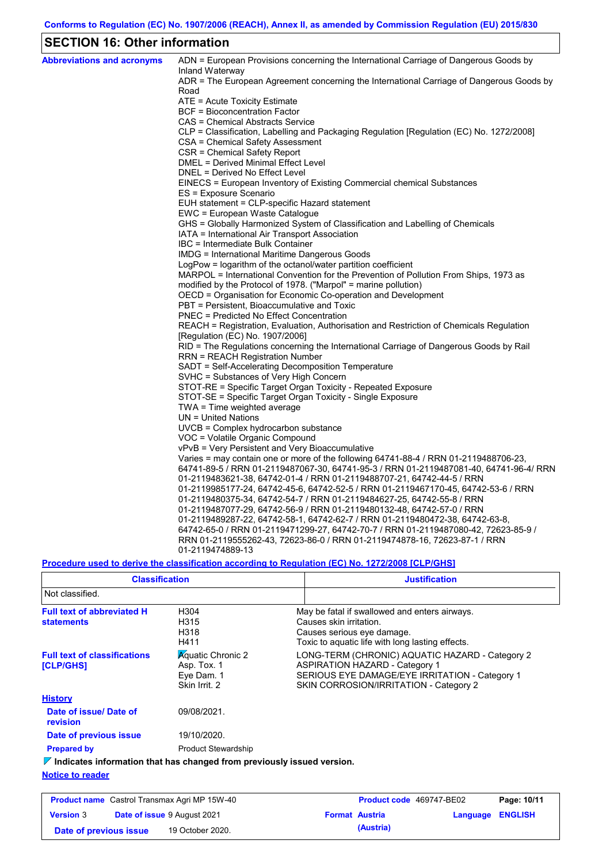# **SECTION 16: Other information**

| <b>Abbreviations and acronyms</b> | ADN = European Provisions concerning the International Carriage of Dangerous Goods by<br>Inland Waterway       |
|-----------------------------------|----------------------------------------------------------------------------------------------------------------|
|                                   | ADR = The European Agreement concerning the International Carriage of Dangerous Goods by                       |
|                                   | Road                                                                                                           |
|                                   | ATE = Acute Toxicity Estimate                                                                                  |
|                                   | BCF = Bioconcentration Factor                                                                                  |
|                                   | CAS = Chemical Abstracts Service                                                                               |
|                                   | CLP = Classification, Labelling and Packaging Regulation [Regulation (EC) No. 1272/2008]                       |
|                                   | CSA = Chemical Safety Assessment                                                                               |
|                                   | CSR = Chemical Safety Report                                                                                   |
|                                   | DMEL = Derived Minimal Effect Level                                                                            |
|                                   | DNEL = Derived No Effect Level                                                                                 |
|                                   | EINECS = European Inventory of Existing Commercial chemical Substances                                         |
|                                   | ES = Exposure Scenario                                                                                         |
|                                   | EUH statement = CLP-specific Hazard statement                                                                  |
|                                   | EWC = European Waste Catalogue                                                                                 |
|                                   | GHS = Globally Harmonized System of Classification and Labelling of Chemicals                                  |
|                                   | IATA = International Air Transport Association                                                                 |
|                                   | IBC = Intermediate Bulk Container                                                                              |
|                                   | IMDG = International Maritime Dangerous Goods<br>LogPow = logarithm of the octanol/water partition coefficient |
|                                   | MARPOL = International Convention for the Prevention of Pollution From Ships, 1973 as                          |
|                                   | modified by the Protocol of 1978. ("Marpol" = marine pollution)                                                |
|                                   | OECD = Organisation for Economic Co-operation and Development                                                  |
|                                   | PBT = Persistent, Bioaccumulative and Toxic                                                                    |
|                                   | <b>PNEC = Predicted No Effect Concentration</b>                                                                |
|                                   | REACH = Registration, Evaluation, Authorisation and Restriction of Chemicals Regulation                        |
|                                   | [Regulation (EC) No. 1907/2006]                                                                                |
|                                   | RID = The Regulations concerning the International Carriage of Dangerous Goods by Rail                         |
|                                   | RRN = REACH Registration Number                                                                                |
|                                   | SADT = Self-Accelerating Decomposition Temperature                                                             |
|                                   | SVHC = Substances of Very High Concern                                                                         |
|                                   | STOT-RE = Specific Target Organ Toxicity - Repeated Exposure                                                   |
|                                   | STOT-SE = Specific Target Organ Toxicity - Single Exposure                                                     |
|                                   | TWA = Time weighted average                                                                                    |
|                                   | $UN = United Nations$                                                                                          |
|                                   | UVCB = Complex hydrocarbon substance                                                                           |
|                                   | VOC = Volatile Organic Compound                                                                                |
|                                   | vPvB = Very Persistent and Very Bioaccumulative                                                                |
|                                   | Varies = may contain one or more of the following 64741-88-4 / RRN 01-2119488706-23,                           |
|                                   | 64741-89-5 / RRN 01-2119487067-30, 64741-95-3 / RRN 01-2119487081-40, 64741-96-4/ RRN                          |
|                                   | 01-2119483621-38, 64742-01-4 / RRN 01-2119488707-21, 64742-44-5 / RRN                                          |
|                                   | 01-2119985177-24, 64742-45-6, 64742-52-5 / RRN 01-2119467170-45, 64742-53-6 / RRN                              |
|                                   | 01-2119480375-34, 64742-54-7 / RRN 01-2119484627-25, 64742-55-8 / RRN                                          |
|                                   | 01-2119487077-29, 64742-56-9 / RRN 01-2119480132-48, 64742-57-0 / RRN                                          |
|                                   | .01-2119489287-22, 64742-58-1, 64742-62-7 / RRN 01-2119480472-38, 64742-63-8                                   |
|                                   | 64742-65-0 / RRN 01-2119471299-27, 64742-70-7 / RRN 01-2119487080-42, 72623-85-9 /                             |
|                                   | RRN 01-2119555262-43, 72623-86-0 / RRN 01-2119474878-16, 72623-87-1 / RRN                                      |
|                                   | 01-2119474889-13                                                                                               |

## **Procedure used to derive the classification according to Regulation (EC) No. 1272/2008 [CLP/GHS]**

| <b>Classification</b>                                                           |                                                                         | <b>Justification</b>                                                                                                                                                                 |
|---------------------------------------------------------------------------------|-------------------------------------------------------------------------|--------------------------------------------------------------------------------------------------------------------------------------------------------------------------------------|
| Not classified.                                                                 |                                                                         |                                                                                                                                                                                      |
| <b>Full text of abbreviated H</b><br><b>statements</b>                          | H304<br>H315<br>H318<br>H411                                            | May be fatal if swallowed and enters airways.<br>Causes skin irritation.<br>Causes serious eye damage.<br>Toxic to aguatic life with long lasting effects.                           |
| <b>Full text of classifications</b><br><b>[CLP/GHS]</b>                         | <b>A</b> quatic Chronic 2<br>Asp. Tox. 1<br>Eye Dam. 1<br>Skin Irrit. 2 | LONG-TERM (CHRONIC) AQUATIC HAZARD - Category 2<br><b>ASPIRATION HAZARD - Category 1</b><br>SERIOUS EYE DAMAGE/EYE IRRITATION - Category 1<br>SKIN CORROSION/IRRITATION - Category 2 |
| <b>History</b>                                                                  |                                                                         |                                                                                                                                                                                      |
| Date of issue/Date of<br>revision                                               | 09/08/2021.                                                             |                                                                                                                                                                                      |
| Date of previous issue                                                          | 19/10/2020.                                                             |                                                                                                                                                                                      |
| <b>Prepared by</b>                                                              | <b>Product Stewardship</b>                                              |                                                                                                                                                                                      |
| $\nabla$ Indicates information that has changed from previously issued version. |                                                                         |                                                                                                                                                                                      |
| <b>Notice to reader</b>                                                         |                                                                         |                                                                                                                                                                                      |

| <b>Product name</b> Castrol Transmax Agri MP 15W-40 |                                    | Product code 469747-BE02 |  | Page: 10/11           |                         |  |
|-----------------------------------------------------|------------------------------------|--------------------------|--|-----------------------|-------------------------|--|
| <b>Version 3</b>                                    | <b>Date of issue 9 August 2021</b> |                          |  | <b>Format Austria</b> | <b>Language ENGLISH</b> |  |
| Date of previous issue                              |                                    | 19 October 2020.         |  | (Austria)             |                         |  |